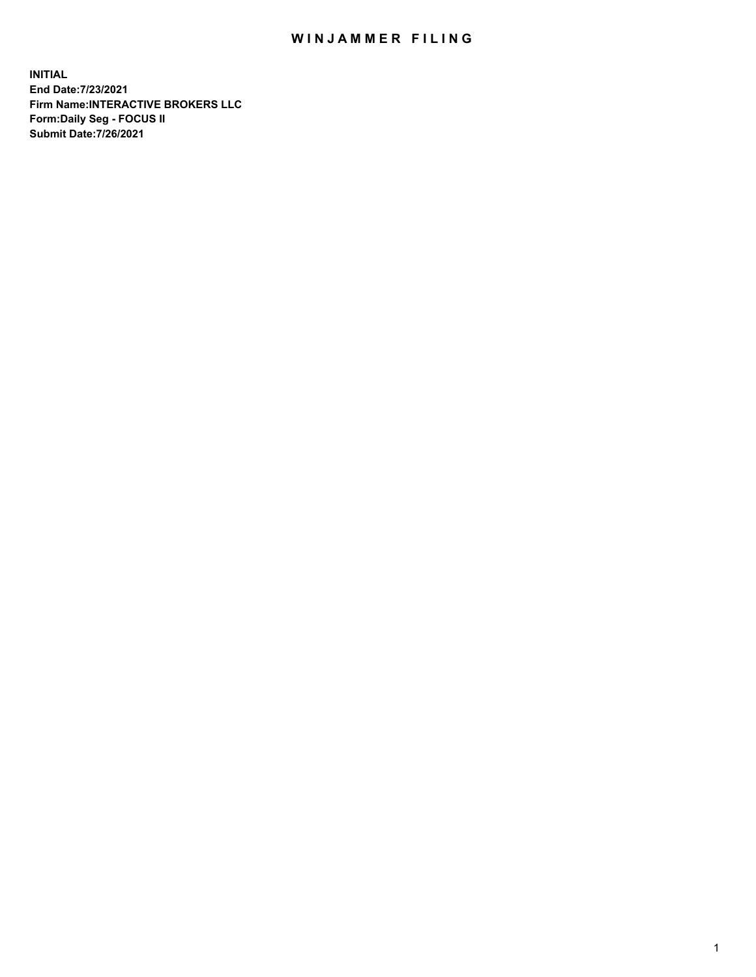## WIN JAMMER FILING

**INITIAL End Date:7/23/2021 Firm Name:INTERACTIVE BROKERS LLC Form:Daily Seg - FOCUS II Submit Date:7/26/2021**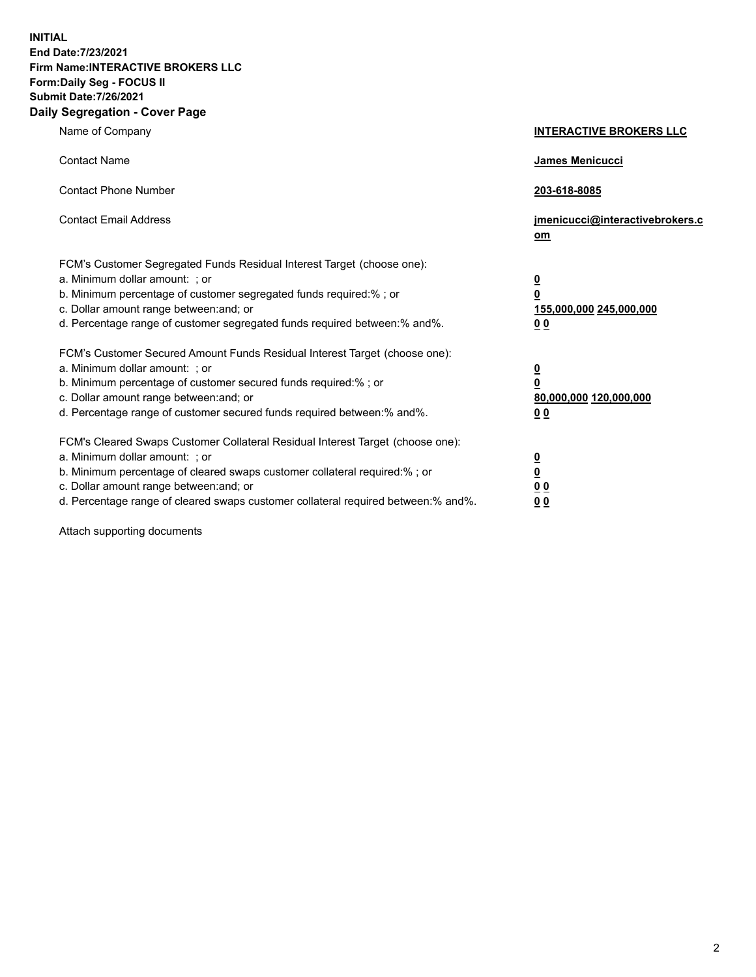**INITIAL End Date:7/23/2021 Firm Name:INTERACTIVE BROKERS LLC Form:Daily Seg - FOCUS II Submit Date:7/26/2021 Daily Segregation - Cover Page**

| Name of Company                                                                                                                                                                                                                                                                                                                | <b>INTERACTIVE BROKERS LLC</b>                                                                  |  |
|--------------------------------------------------------------------------------------------------------------------------------------------------------------------------------------------------------------------------------------------------------------------------------------------------------------------------------|-------------------------------------------------------------------------------------------------|--|
| <b>Contact Name</b>                                                                                                                                                                                                                                                                                                            | James Menicucci                                                                                 |  |
| <b>Contact Phone Number</b>                                                                                                                                                                                                                                                                                                    | 203-618-8085                                                                                    |  |
| <b>Contact Email Address</b>                                                                                                                                                                                                                                                                                                   | jmenicucci@interactivebrokers.c<br><u>om</u>                                                    |  |
| FCM's Customer Segregated Funds Residual Interest Target (choose one):<br>a. Minimum dollar amount: ; or<br>b. Minimum percentage of customer segregated funds required:% ; or<br>c. Dollar amount range between: and; or<br>d. Percentage range of customer segregated funds required between:% and%.                         | $\overline{\mathbf{0}}$<br>$\overline{\mathbf{0}}$<br>155,000,000 245,000,000<br>0 <sub>0</sub> |  |
| FCM's Customer Secured Amount Funds Residual Interest Target (choose one):<br>a. Minimum dollar amount: ; or<br>b. Minimum percentage of customer secured funds required:% ; or<br>c. Dollar amount range between: and; or<br>d. Percentage range of customer secured funds required between:% and%.                           | $\overline{\mathbf{0}}$<br>$\overline{\mathbf{0}}$<br>80,000,000 120,000,000<br>0 <sub>0</sub>  |  |
| FCM's Cleared Swaps Customer Collateral Residual Interest Target (choose one):<br>a. Minimum dollar amount: ; or<br>b. Minimum percentage of cleared swaps customer collateral required:% ; or<br>c. Dollar amount range between: and; or<br>d. Percentage range of cleared swaps customer collateral required between:% and%. | $\overline{\mathbf{0}}$<br>$\overline{\mathbf{0}}$<br>0 <sub>0</sub><br>0 <sub>0</sub>          |  |

Attach supporting documents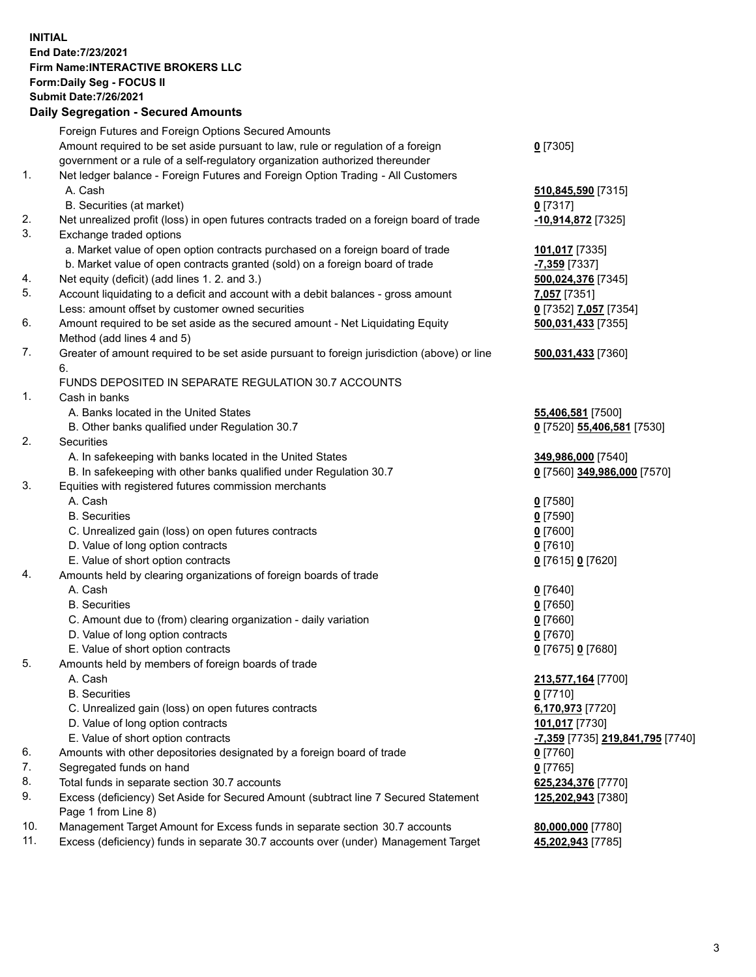**INITIAL End Date:7/23/2021 Firm Name:INTERACTIVE BROKERS LLC Form:Daily Seg - FOCUS II Submit Date:7/26/2021 Daily Segregation - Secured Amounts**

## Foreign Futures and Foreign Options Secured Amounts Amount required to be set aside pursuant to law, rule or regulation of a foreign government or a rule of a self-regulatory organization authorized thereunder **0** [7305] 1. Net ledger balance - Foreign Futures and Foreign Option Trading - All Customers A. Cash **510,845,590** [7315] B. Securities (at market) **0** [7317] 2. Net unrealized profit (loss) in open futures contracts traded on a foreign board of trade **-10,914,872** [7325] 3. Exchange traded options a. Market value of open option contracts purchased on a foreign board of trade **101,017** [7335] b. Market value of open contracts granted (sold) on a foreign board of trade **-7,359** [7337] 4. Net equity (deficit) (add lines 1. 2. and 3.) **500,024,376** [7345] 5. Account liquidating to a deficit and account with a debit balances - gross amount **7,057** [7351] Less: amount offset by customer owned securities **0** [7352] **7,057** [7354] 6. Amount required to be set aside as the secured amount - Net Liquidating Equity Method (add lines 4 and 5) **500,031,433** [7355] 7. Greater of amount required to be set aside pursuant to foreign jurisdiction (above) or line 6. **500,031,433** [7360] FUNDS DEPOSITED IN SEPARATE REGULATION 30.7 ACCOUNTS 1. Cash in banks A. Banks located in the United States **55,406,581** [7500] B. Other banks qualified under Regulation 30.7 **0** [7520] **55,406,581** [7530] 2. Securities A. In safekeeping with banks located in the United States **349,986,000** [7540] B. In safekeeping with other banks qualified under Regulation 30.7 **0** [7560] **349,986,000** [7570] 3. Equities with registered futures commission merchants A. Cash **0** [7580] B. Securities **0** [7590] C. Unrealized gain (loss) on open futures contracts **0** [7600] D. Value of long option contracts **0** [7610] E. Value of short option contracts **0** [7615] **0** [7620] 4. Amounts held by clearing organizations of foreign boards of trade A. Cash **0** [7640] B. Securities **0** [7650] C. Amount due to (from) clearing organization - daily variation **0** [7660] D. Value of long option contracts **0** [7670] E. Value of short option contracts **0** [7675] **0** [7680] 5. Amounts held by members of foreign boards of trade A. Cash **213,577,164** [7700] B. Securities **0** [7710] C. Unrealized gain (loss) on open futures contracts **6,170,973** [7720] D. Value of long option contracts **101,017** [7730] E. Value of short option contracts **-7,359** [7735] **219,841,795** [7740] 6. Amounts with other depositories designated by a foreign board of trade **0** [7760] 7. Segregated funds on hand **0** [7765] 8. Total funds in separate section 30.7 accounts **625,234,376** [7770] 9. Excess (deficiency) Set Aside for Secured Amount (subtract line 7 Secured Statement Page 1 from Line 8) **125,202,943** [7380] 10. Management Target Amount for Excess funds in separate section 30.7 accounts **80,000,000** [7780] 11. Excess (deficiency) funds in separate 30.7 accounts over (under) Management Target **45,202,943** [7785]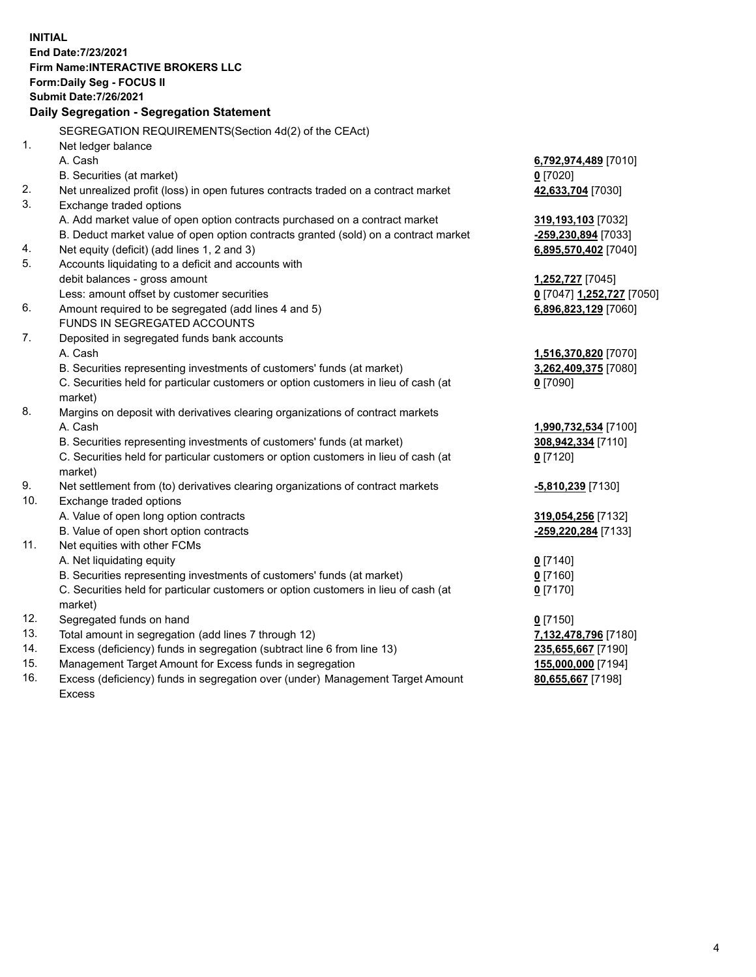**INITIAL End Date:7/23/2021 Firm Name:INTERACTIVE BROKERS LLC Form:Daily Seg - FOCUS II Submit Date:7/26/2021 Daily Segregation - Segregation Statement** SEGREGATION REQUIREMENTS(Section 4d(2) of the CEAct) 1. Net ledger balance A. Cash **6,792,974,489** [7010] B. Securities (at market) **0** [7020] 2. Net unrealized profit (loss) in open futures contracts traded on a contract market **42,633,704** [7030] 3. Exchange traded options A. Add market value of open option contracts purchased on a contract market **319,193,103** [7032] B. Deduct market value of open option contracts granted (sold) on a contract market **-259,230,894** [7033] 4. Net equity (deficit) (add lines 1, 2 and 3) **6,895,570,402** [7040] 5. Accounts liquidating to a deficit and accounts with debit balances - gross amount **1,252,727** [7045] Less: amount offset by customer securities **0** [7047] **1,252,727** [7050] 6. Amount required to be segregated (add lines 4 and 5) **6,896,823,129** [7060] FUNDS IN SEGREGATED ACCOUNTS 7. Deposited in segregated funds bank accounts A. Cash **1,516,370,820** [7070] B. Securities representing investments of customers' funds (at market) **3,262,409,375** [7080] C. Securities held for particular customers or option customers in lieu of cash (at market) **0** [7090] 8. Margins on deposit with derivatives clearing organizations of contract markets A. Cash **1,990,732,534** [7100] B. Securities representing investments of customers' funds (at market) **308,942,334** [7110] C. Securities held for particular customers or option customers in lieu of cash (at market) **0** [7120] 9. Net settlement from (to) derivatives clearing organizations of contract markets **-5,810,239** [7130] 10. Exchange traded options A. Value of open long option contracts **319,054,256** [7132] B. Value of open short option contracts **-259,220,284** [7133] 11. Net equities with other FCMs A. Net liquidating equity **0** [7140] B. Securities representing investments of customers' funds (at market) **0** [7160] C. Securities held for particular customers or option customers in lieu of cash (at market) **0** [7170] 12. Segregated funds on hand **0** [7150] 13. Total amount in segregation (add lines 7 through 12) **7,132,478,796** [7180] 14. Excess (deficiency) funds in segregation (subtract line 6 from line 13) **235,655,667** [7190] 15. Management Target Amount for Excess funds in segregation **155,000,000** [7194] **80,655,667** [7198]

16. Excess (deficiency) funds in segregation over (under) Management Target Amount Excess